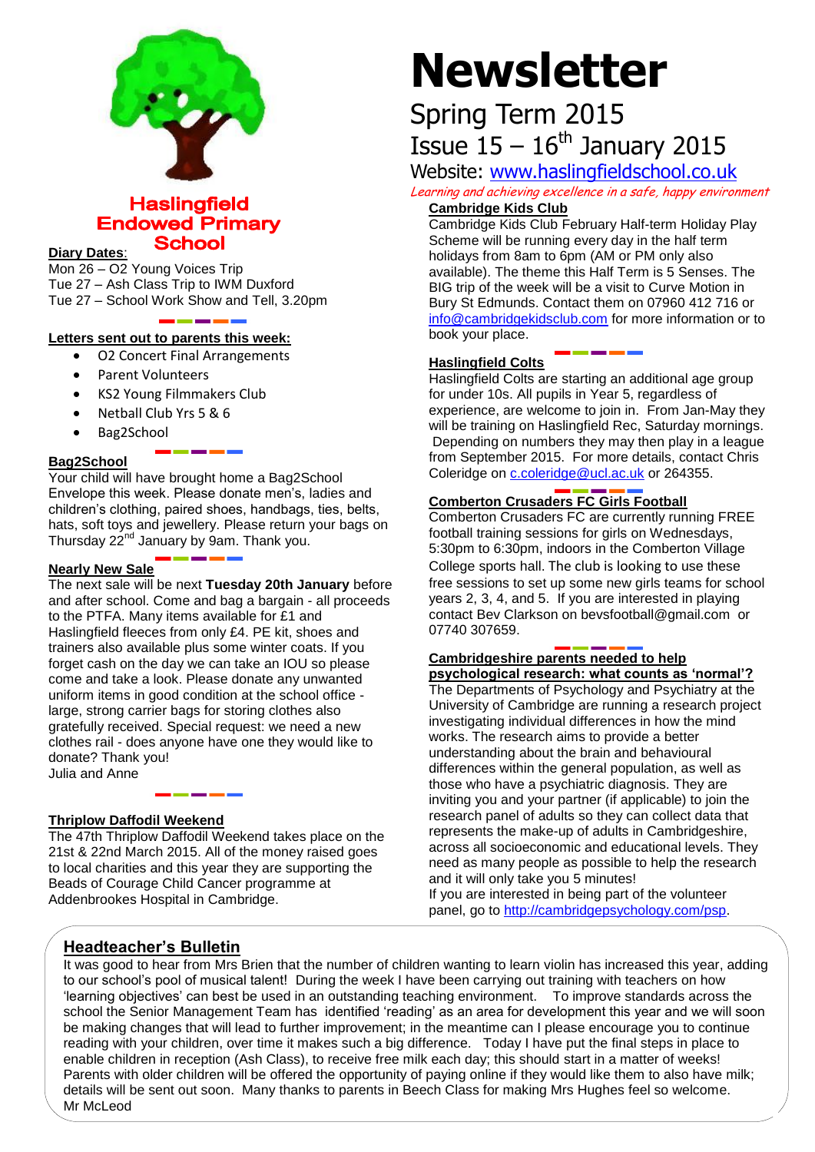

## **Haslingfield Endowed Primary School**

#### **Diary Dates**:

Mon  $26 - 02$  Young Voices Trip Tue 27 – Ash Class Trip to IWM Duxford Tue 27 – School Work Show and Tell, 3.20pm

#### **Letters sent out to parents this week:**

- O2 Concert Final Arrangements
- Parent Volunteers
- KS2 Young Filmmakers Club
- Netball Club Yrs 5 & 6
- Bag2School

#### **Bag2School**

Your child will have brought home a Bag2School Envelope this week. Please donate men's, ladies and children's clothing, paired shoes, handbags, ties, belts, hats, soft toys and jewellery. Please return your bags on Thursday  $22^{nd}$  January by 9am. Thank you.

#### **Nearly New Sale**

The next sale will be next **Tuesday 20th January** before and after school. Come and bag a bargain - all proceeds to the PTFA. Many items available for £1 and Haslingfield fleeces from only £4. PE kit, shoes and trainers also available plus some winter coats. If you forget cash on the day we can take an IOU so please come and take a look. Please donate any unwanted uniform items in good condition at the school office large, strong carrier bags for storing clothes also gratefully received. Special request: we need a new clothes rail - does anyone have one they would like to donate? Thank you! Julia and Anne

#### **Thriplow Daffodil Weekend**

The 47th Thriplow Daffodil Weekend takes place on the 21st & 22nd March 2015. All of the money raised goes to local charities and this year they are supporting the Beads of Courage Child Cancer programme at Addenbrookes Hospital in Cambridge.

# **Newsletter**

# Spring Term 2015 Issue  $15 - 16$ <sup>th</sup> January 2015

## Website: [www.haslingfieldschool.co.uk](http://www.haslingfieldschool.co.uk/)

Learning and achieving excellence in a safe, happy environment **Cambridge Kids Club** 

Cambridge Kids Club February Half-term Holiday Play Scheme will be running every day in the half term holidays from 8am to 6pm (AM or PM only also available). The theme this Half Term is 5 Senses. The BIG trip of the week will be a visit to Curve Motion in

Bury St Edmunds. Contact them on 07960 412 716 or [info@cambridgekidsclub.com](mailto:info@cambridgekidsclub.com) for more information or to book your place.

#### **Haslingfield Colts**

Haslingfield Colts are starting an additional age group for under 10s. All pupils in Year 5, regardless of experience, are welcome to join in. From Jan-May they will be training on Haslingfield Rec, Saturday mornings. Depending on numbers they may then play in a league from September 2015. For more details, contact Chris Coleridge on [c.coleridge@ucl.ac.uk](mailto:c.coleridge@ucl.ac.uk) or 264355.

#### **Comberton Crusaders FC Girls Football**

Comberton Crusaders FC are currently running FREE football training sessions for girls on Wednesdays, 5:30pm to 6:30pm, indoors in the Comberton Village College sports hall. The club is looking to use these free sessions to set up some new girls teams for school years 2, 3, 4, and 5. If you are interested in playing contact Bev Clarkson on bevsfootball@gmail.com or 07740 307659.

#### **Cambridgeshire parents needed to help psychological research: what counts as 'normal'?**

The Departments of Psychology and Psychiatry at the University of Cambridge are running a research project investigating individual differences in how the mind works. The research aims to provide a better understanding about the brain and behavioural differences within the general population, as well as those who have a psychiatric diagnosis. They are inviting you and your partner (if applicable) to join the research panel of adults so they can collect data that represents the make-up of adults in Cambridgeshire, across all socioeconomic and educational levels. They need as many people as possible to help the research and it will only take you 5 minutes!

If you are interested in being part of the volunteer panel, go to [http://cambridgepsychology.com/psp.](http://cambridgepsychology.com/psp)

## **Headteacher's Bulletin**

It was good to hear from Mrs Brien that the number of children wanting to learn violin has increased this year, adding to our school's pool of musical talent! During the week I have been carrying out training with teachers on how 'learning objectives' can best be used in an outstanding teaching environment. To improve standards across the school the Senior Management Team has identified 'reading' as an area for development this year and we will soon be making changes that will lead to further improvement; in the meantime can I please encourage you to continue reading with your children, over time it makes such a big difference. Today I have put the final steps in place to enable children in reception (Ash Class), to receive free milk each day; this should start in a matter of weeks! Parents with older children will be offered the opportunity of paying online if they would like them to also have milk; details will be sent out soon. Many thanks to parents in Beech Class for making Mrs Hughes feel so welcome. Mr McLeod